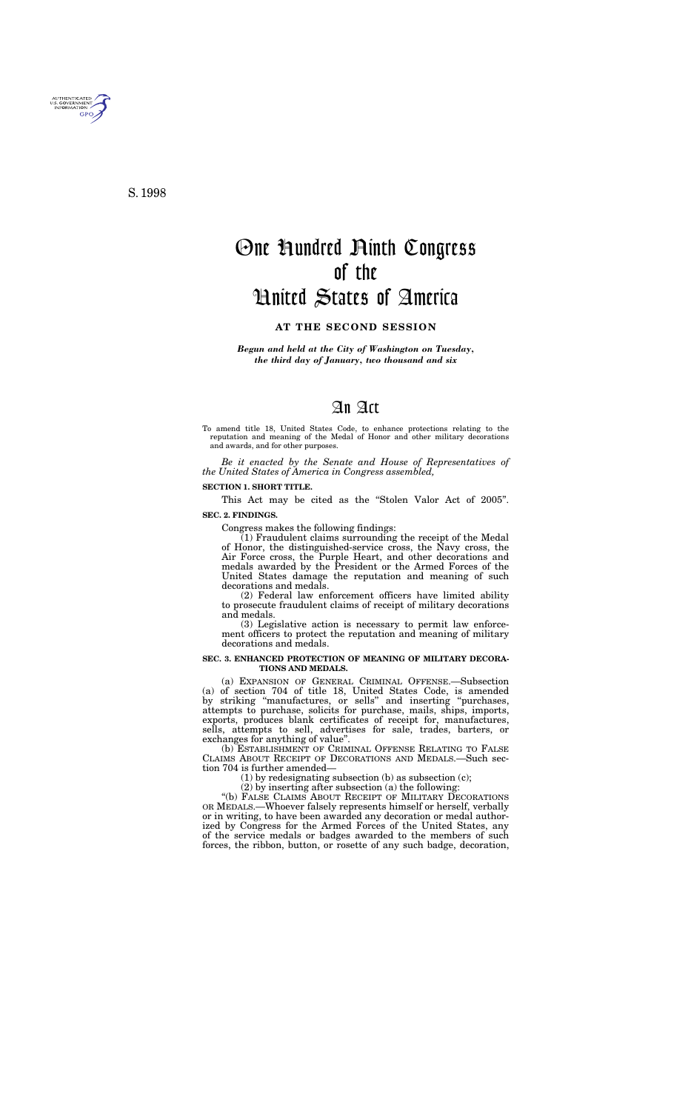*Begun and held at the City of Washington on Tuesday, the third day of January, two thousand and six*

# An Act

To amend title 18, United States Code, to enhance protections relating to the reputation and meaning of the Medal of Honor and other military decorations and awards, and for other purposes.

*Be it enacted by the Senate and House of Representatives of the United States of America in Congress assembled,*

#### **SECTION 1. SHORT TITLE.**

This Act may be cited as the "Stolen Valor Act of 2005". **SEC. 2. FINDINGS.**

## Congress makes the following findings:

(1) Fraudulent claims surrounding the receipt of the Medal of Honor, the distinguished-service cross, the Navy cross, the Air Force cross, the Purple Heart, and other decorations and medals awarded by the President or the Armed Forces of the United States damage the reputation and meaning of such decorations and medals.

(2) Federal law enforcement officers have limited ability to prosecute fraudulent claims of receipt of military decorations and medals.

(3) Legislative action is necessary to permit law enforcement officers to protect the reputation and meaning of military decorations and medals.

### **SEC. 3. ENHANCED PROTECTION OF MEANING OF MILITARY DECORA-TIONS AND MEDALS.**

(a) EXPANSION OF GENERAL CRIMINAL OFFENSE.—Subsection (a) of section 704 of title 18, United States Code, is amended by striking ''manufactures, or sells'' and inserting ''purchases, attempts to purchase, solicits for purchase, mails, ships, imports, exports, produces blank certificates of receipt for, manufactures, sells, attempts to sell, advertises for sale, trades, barters, or exchanges for anything of value''.

(b) ESTABLISHMENT OF CRIMINAL OFFENSE RELATING TO FALSE CLAIMS ABOUT RECEIPT OF DECORATIONS AND MEDALS.—Such section 704 is further amended—

(1) by redesignating subsection (b) as subsection (c);

(2) by inserting after subsection (a) the following:

"(b) FALSE CLAIMS ABOUT RECEIPT OF MILITARY DECORATIONS OR MEDALS.—Whoever falsely represents himself or herself, verbally or in writing, to have been awarded any decoration or medal authorized by Congress for the Armed Forces of the United States, any of the service medals or badges awarded to the members of such forces, the ribbon, button, or rosette of any such badge, decoration,